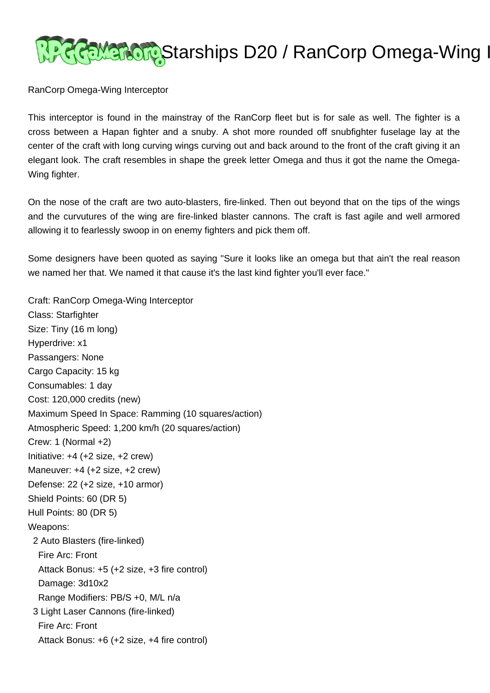

RanCorp Omega-Wing Interceptor

This interceptor is found in the mainstray of the RanCorp fleet but is for sale as well. The fighter is a cross between a Hapan fighter and a snuby. A shot more rounded off snubfighter fuselage lay at the center of the craft with long curving wings curving out and back around to the front of the craft giving it an elegant look. The craft resembles in shape the greek letter Omega and thus it got the name the Omega-Wing fighter.

On the nose of the craft are two auto-blasters, fire-linked. Then out beyond that on the tips of the wings and the curvutures of the wing are fire-linked blaster cannons. The craft is fast agile and well armored allowing it to fearlessly swoop in on enemy fighters and pick them off.

Some designers have been quoted as saying "Sure it looks like an omega but that ain't the real reason we named her that. We named it that cause it's the last kind fighter you'll ever face."

Craft: RanCorp Omega-Wing Interceptor Class: Starfighter Size: Tiny (16 m long) Hyperdrive: x1 Passangers: None Cargo Capacity: 15 kg Consumables: 1 day Cost: 120,000 credits (new) Maximum Speed In Space: Ramming (10 squares/action) Atmospheric Speed: 1,200 km/h (20 squares/action) Crew: 1 (Normal +2) Initiative: +4 (+2 size, +2 crew) Maneuver: +4 (+2 size, +2 crew) Defense: 22 (+2 size, +10 armor) Shield Points: 60 (DR 5) Hull Points: 80 (DR 5) Weapons: 2 Auto Blasters (fire-linked) Fire Arc: Front Attack Bonus: +5 (+2 size, +3 fire control) Damage: 3d10x2 Range Modifiers: PB/S +0, M/L n/a 3 Light Laser Cannons (fire-linked) Fire Arc: Front Attack Bonus: +6 (+2 size, +4 fire control)